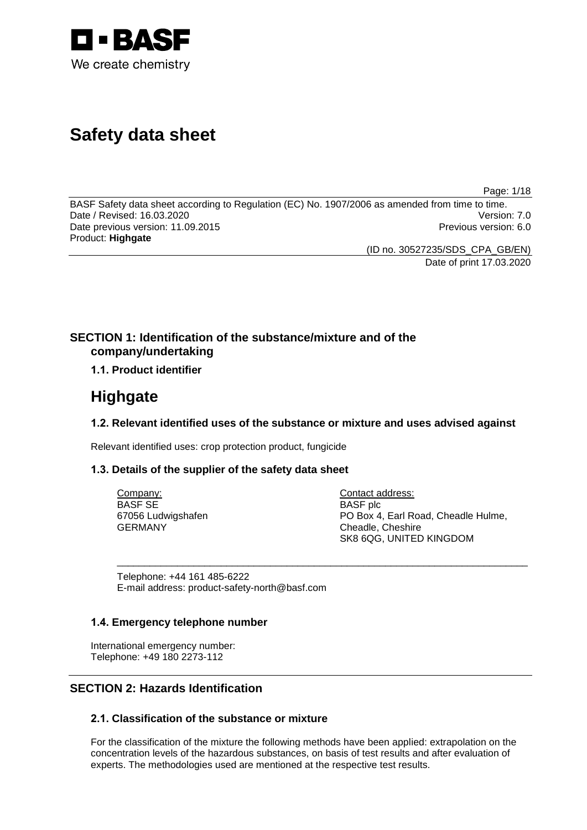

# **Safety data sheet**

Page: 1/18

BASF Safety data sheet according to Regulation (EC) No. 1907/2006 as amended from time to time.<br>Date / Revised: 16.03.2020 Date / Revised: 16.03.2020 Date previous version: 11.09.2015 **Previous version: 6.0 Previous version: 6.0** Product: **Highgate**

(ID no. 30527235/SDS\_CPA\_GB/EN) Date of print 17.03.2020

# **SECTION 1: Identification of the substance/mixture and of the company/undertaking**

## **1.1. Product identifier**

# **Highgate**

## **1.2. Relevant identified uses of the substance or mixture and uses advised against**

\_\_\_\_\_\_\_\_\_\_\_\_\_\_\_\_\_\_\_\_\_\_\_\_\_\_\_\_\_\_\_\_\_\_\_\_\_\_\_\_\_\_\_\_\_\_\_\_\_\_\_\_\_\_\_\_\_\_\_\_\_\_\_\_\_\_\_\_\_\_\_\_\_\_\_

Relevant identified uses: crop protection product, fungicide

## **1.3. Details of the supplier of the safety data sheet**

Company: BASF SE 67056 Ludwigshafen GERMANY

Contact address: BASF plc PO Box 4, Earl Road, Cheadle Hulme, Cheadle, Cheshire SK8 6QG, UNITED KINGDOM

Telephone: +44 161 485-6222 E-mail address: product-safety-north@basf.com

## **1.4. Emergency telephone number**

International emergency number: Telephone: +49 180 2273-112

# **SECTION 2: Hazards Identification**

## **2.1. Classification of the substance or mixture**

For the classification of the mixture the following methods have been applied: extrapolation on the concentration levels of the hazardous substances, on basis of test results and after evaluation of experts. The methodologies used are mentioned at the respective test results.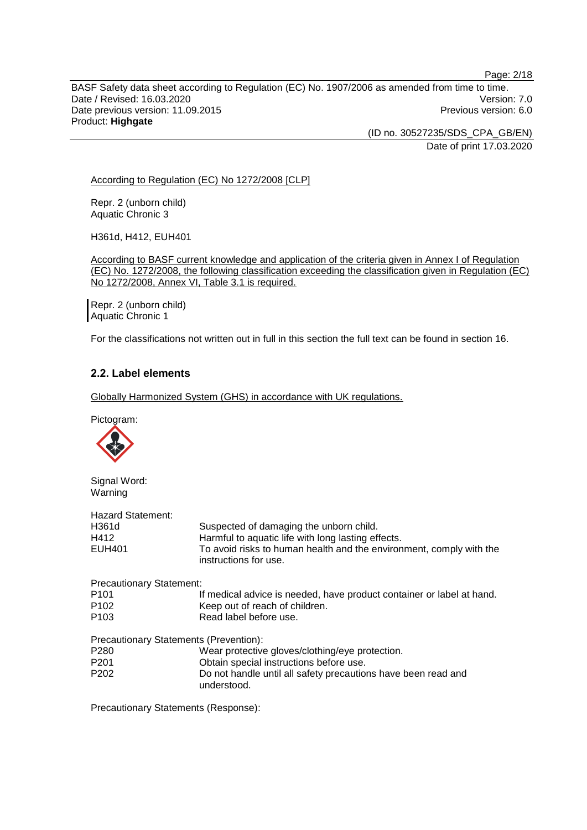BASF Safety data sheet according to Regulation (EC) No. 1907/2006 as amended from time to time. Date / Revised: 16.03.2020<br>Date previous version: 11.09.2015 Date previous version: 11.09.2015 Product: **Highgate**

(ID no. 30527235/SDS\_CPA\_GB/EN) Date of print 17.03.2020

According to Regulation (EC) No 1272/2008 [CLP]

Repr. 2 (unborn child) Aquatic Chronic 3

H361d, H412, EUH401

According to BASF current knowledge and application of the criteria given in Annex I of Regulation (EC) No. 1272/2008, the following classification exceeding the classification given in Regulation (EC) No 1272/2008, Annex VI, Table 3.1 is required.

Repr. 2 (unborn child) Aquatic Chronic 1

For the classifications not written out in full in this section the full text can be found in section 16.

## **2.2. Label elements**

Globally Harmonized System (GHS) in accordance with UK regulations.

Pictogram:



Signal Word: Warning

| <b>Hazard Statement:</b>               |                                                                                              |
|----------------------------------------|----------------------------------------------------------------------------------------------|
| H361d                                  | Suspected of damaging the unborn child.                                                      |
| H412                                   | Harmful to aquatic life with long lasting effects.                                           |
| <b>EUH401</b>                          | To avoid risks to human health and the environment, comply with the<br>instructions for use. |
| <b>Precautionary Statement:</b>        |                                                                                              |
| P <sub>101</sub>                       | If medical advice is needed, have product container or label at hand.                        |
| P <sub>102</sub>                       | Keep out of reach of children.                                                               |
| P <sub>103</sub>                       | Read label before use.                                                                       |
| Precautionary Statements (Prevention): |                                                                                              |
| P <sub>280</sub>                       | Wear protective gloves/clothing/eye protection.                                              |
| P <sub>201</sub>                       | Obtain special instructions before use.                                                      |
| P <sub>202</sub>                       | Do not handle until all safety precautions have been read and<br>understood.                 |

Precautionary Statements (Response):

Page: 2/18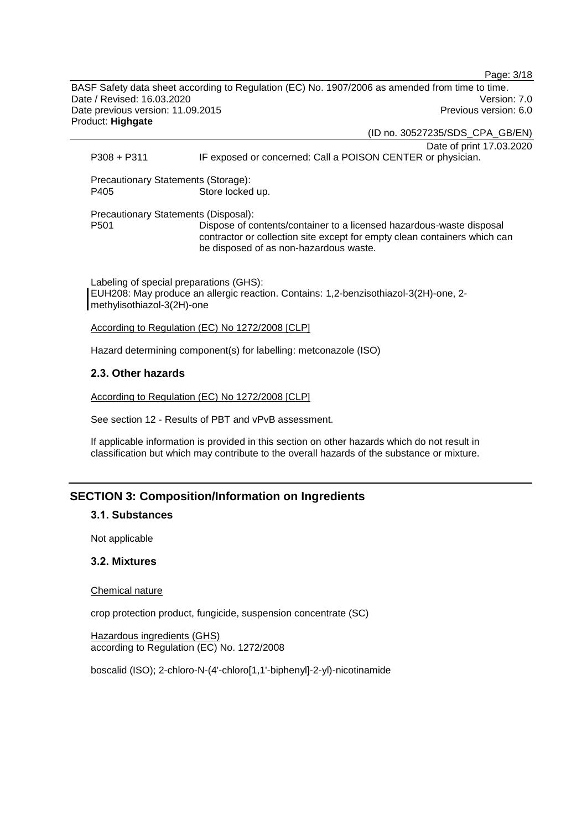BASF Safety data sheet according to Regulation (EC) No. 1907/2006 as amended from time to time. Date / Revised: 16.03.2020 Version: 7.0 Date previous version: 11.09.2015 **Previous version: 6.0** Previous version: 6.0 Product: **Highgate**

(ID no. 30527235/SDS\_CPA\_GB/EN) Date of print 17.03.2020 P308 + P311 IF exposed or concerned: Call a POISON CENTER or physician.

Page: 3/18

Precautionary Statements (Storage): P405 Store locked up.

Precautionary Statements (Disposal): Dispose of contents/container to a licensed hazardous-waste disposal contractor or collection site except for empty clean containers which can be disposed of as non-hazardous waste.

Labeling of special preparations (GHS): EUH208: May produce an allergic reaction. Contains: 1,2-benzisothiazol-3(2H)-one, 2 methylisothiazol-3(2H)-one

According to Regulation (EC) No 1272/2008 [CLP]

Hazard determining component(s) for labelling: metconazole (ISO)

## **2.3. Other hazards**

According to Regulation (EC) No 1272/2008 [CLP]

See section 12 - Results of PBT and vPvB assessment.

If applicable information is provided in this section on other hazards which do not result in classification but which may contribute to the overall hazards of the substance or mixture.

# **SECTION 3: Composition/Information on Ingredients**

## **3.1. Substances**

Not applicable

## **3.2. Mixtures**

Chemical nature

crop protection product, fungicide, suspension concentrate (SC)

Hazardous ingredients (GHS) according to Regulation (EC) No. 1272/2008

boscalid (ISO); 2-chloro-N-(4'-chloro[1,1'-biphenyl]-2-yl)-nicotinamide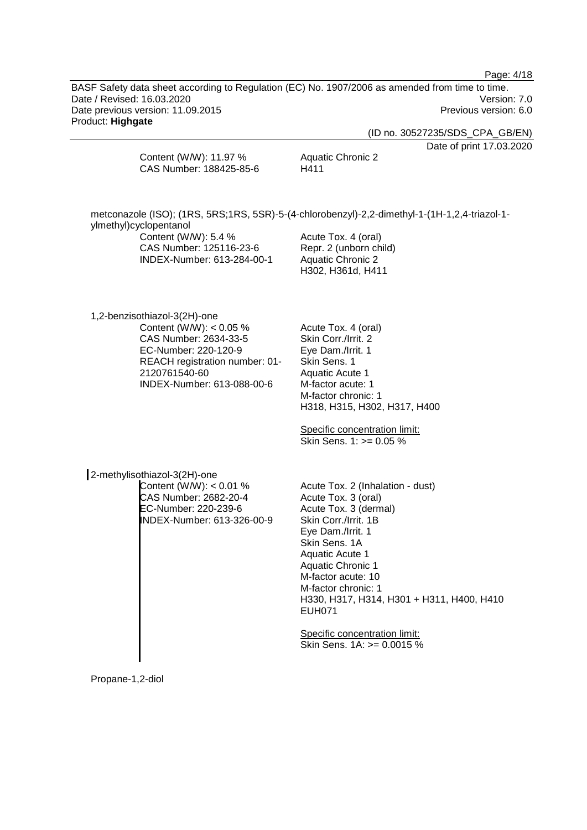Page: 4/18

BASF Safety data sheet according to Regulation (EC) No. 1907/2006 as amended from time to time. Date / Revised: 16.03.2020<br>Date previous version: 11.09.2015 Date previous version: 11.09.2015 Product: **Highgate**

(ID no. 30527235/SDS\_CPA\_GB/EN)

Date of print 17.03.2020

| Content (W/W): 11.97 %  | <b>Aquatic Chronic 2</b> |
|-------------------------|--------------------------|
| CAS Number: 188425-85-6 | H411                     |
|                         |                          |

| ylmethyl)cyclopentanol     | metconazole (ISO); (1RS, 5RS;1RS, 5SR)-5-(4-chlorobenzyl)-2,2-dimethyl-1-(1H-1,2,4-triazol-1- |
|----------------------------|-----------------------------------------------------------------------------------------------|
| Content (W/W): 5.4 %       | Acute Tox. 4 (oral)                                                                           |
| CAS Number: 125116-23-6    | Repr. 2 (unborn child)                                                                        |
| INDEX-Number: 613-284-00-1 | Aquatic Chronic 2<br>H302, H361d, H411                                                        |
|                            |                                                                                               |

1,2-benzisothiazol-3(2H)-one Content (W/W):  $< 0.05$  % CAS Number: 2634-33-5 EC-Number: 220-120-9 REACH registration number: 01- 2120761540-60 INDEX-Number: 613-088-00-6

Acute Tox. 4 (oral) Skin Corr./Irrit. 2 Eye Dam./Irrit. 1 Skin Sens. 1 Aquatic Acute 1 M-factor acute: 1 M-factor chronic: 1 H318, H315, H302, H317, H400

Specific concentration limit: Skin Sens. 1: >= 0.05 %

2-methylisothiazol-3(2H)-one Content (W/W): < 0.01 % CAS Number: 2682-20-4 EC-Number: 220-239-6 INDEX-Number: 613-326-00-9

Acute Tox. 2 (Inhalation - dust) Acute Tox. 3 (oral) Acute Tox. 3 (dermal) Skin Corr./Irrit. 1B Eye Dam./Irrit. 1 Skin Sens. 1A Aquatic Acute 1 Aquatic Chronic 1 M-factor acute: 10 M-factor chronic: 1 H330, H317, H314, H301 + H311, H400, H410 EUH071

Specific concentration limit: Skin Sens. 1A: >= 0.0015 %

Propane-1,2-diol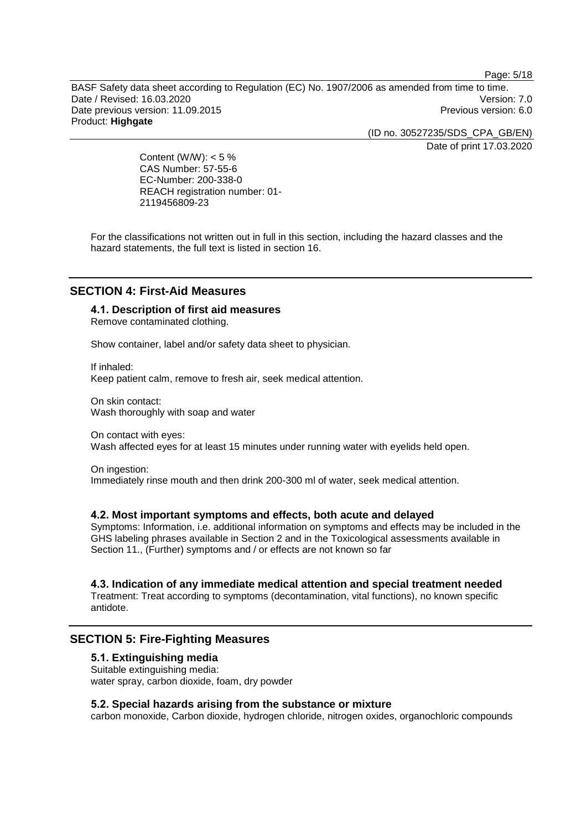Page: 5/18

BASF Safety data sheet according to Regulation (EC) No. 1907/2006 as amended from time to time. Date / Revised: 16.03.2020 Version: 7.0 Date previous version: 11.09.2015 **Previous version: 6.0** Network 2016 Product: **Highgate**

> (ID no. 30527235/SDS\_CPA\_GB/EN) Date of print 17.03.2020

Content (W/W):  $< 5 \%$ CAS Number: 57-55-6 EC-Number: 200-338-0 REACH registration number: 01- 2119456809-23

For the classifications not written out in full in this section, including the hazard classes and the hazard statements, the full text is listed in section 16.

## **SECTION 4: First-Aid Measures**

## **4.1. Description of first aid measures**

Remove contaminated clothing.

Show container, label and/or safety data sheet to physician.

If inhaled: Keep patient calm, remove to fresh air, seek medical attention.

On skin contact: Wash thoroughly with soap and water

On contact with eyes: Wash affected eyes for at least 15 minutes under running water with eyelids held open.

On ingestion: Immediately rinse mouth and then drink 200-300 ml of water, seek medical attention.

## **4.2. Most important symptoms and effects, both acute and delayed**

Symptoms: Information, i.e. additional information on symptoms and effects may be included in the GHS labeling phrases available in Section 2 and in the Toxicological assessments available in Section 11., (Further) symptoms and / or effects are not known so far

## **4.3. Indication of any immediate medical attention and special treatment needed**

Treatment: Treat according to symptoms (decontamination, vital functions), no known specific antidote.

## **SECTION 5: Fire-Fighting Measures**

## **5.1. Extinguishing media**

Suitable extinguishing media: water spray, carbon dioxide, foam, dry powder

## **5.2. Special hazards arising from the substance or mixture**

carbon monoxide, Carbon dioxide, hydrogen chloride, nitrogen oxides, organochloric compounds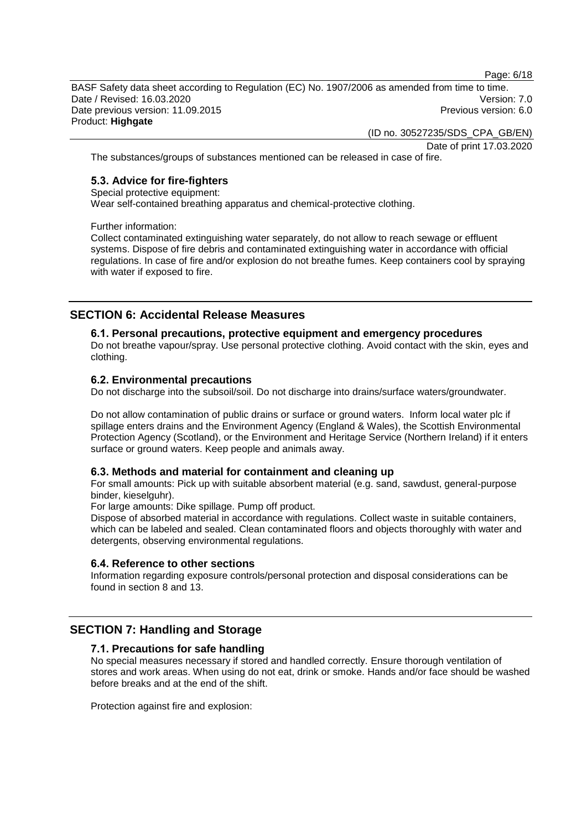Page: 6/18

BASF Safety data sheet according to Regulation (EC) No. 1907/2006 as amended from time to time. Date / Revised: 16.03.2020 Version: 7.0 Date previous version: 11.09.2015 **Previous version: 6.0** Network 2016 Product: **Highgate**

(ID no. 30527235/SDS\_CPA\_GB/EN)

Date of print 17.03.2020

The substances/groups of substances mentioned can be released in case of fire.

## **5.3. Advice for fire-fighters**

Special protective equipment:

Wear self-contained breathing apparatus and chemical-protective clothing.

Further information:

Collect contaminated extinguishing water separately, do not allow to reach sewage or effluent systems. Dispose of fire debris and contaminated extinguishing water in accordance with official regulations. In case of fire and/or explosion do not breathe fumes. Keep containers cool by spraying with water if exposed to fire.

## **SECTION 6: Accidental Release Measures**

#### **6.1. Personal precautions, protective equipment and emergency procedures**

Do not breathe vapour/spray. Use personal protective clothing. Avoid contact with the skin, eyes and clothing.

#### **6.2. Environmental precautions**

Do not discharge into the subsoil/soil. Do not discharge into drains/surface waters/groundwater.

Do not allow contamination of public drains or surface or ground waters. Inform local water plc if spillage enters drains and the Environment Agency (England & Wales), the Scottish Environmental Protection Agency (Scotland), or the Environment and Heritage Service (Northern Ireland) if it enters surface or ground waters. Keep people and animals away.

#### **6.3. Methods and material for containment and cleaning up**

For small amounts: Pick up with suitable absorbent material (e.g. sand, sawdust, general-purpose binder, kieselguhr).

For large amounts: Dike spillage. Pump off product.

Dispose of absorbed material in accordance with regulations. Collect waste in suitable containers, which can be labeled and sealed. Clean contaminated floors and objects thoroughly with water and detergents, observing environmental regulations.

#### **6.4. Reference to other sections**

Information regarding exposure controls/personal protection and disposal considerations can be found in section 8 and 13.

## **SECTION 7: Handling and Storage**

#### **7.1. Precautions for safe handling**

No special measures necessary if stored and handled correctly. Ensure thorough ventilation of stores and work areas. When using do not eat, drink or smoke. Hands and/or face should be washed before breaks and at the end of the shift.

Protection against fire and explosion: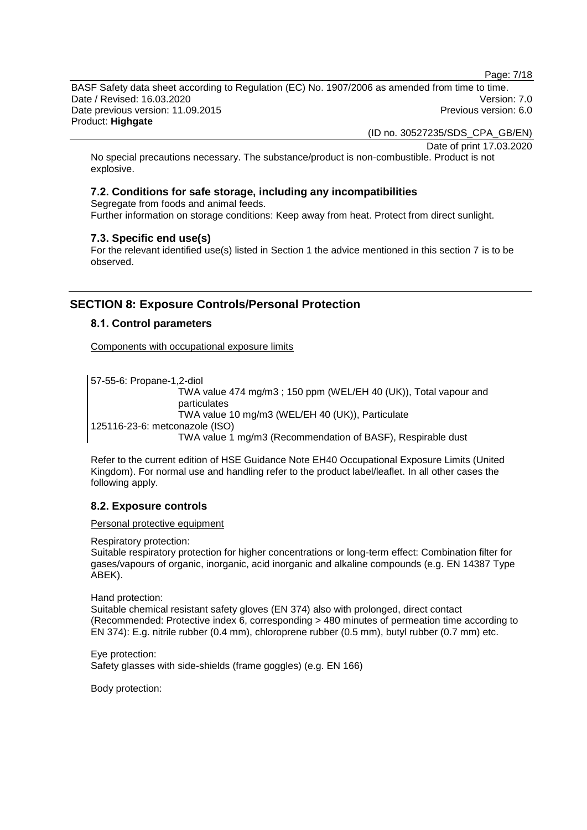Page: 7/18

BASF Safety data sheet according to Regulation (EC) No. 1907/2006 as amended from time to time. Date / Revised: 16.03.2020 Version: 7.0 Date previous version: 11.09.2015 **Previous version: 6.0** Network 2016 Product: **Highgate**

(ID no. 30527235/SDS\_CPA\_GB/EN)

Date of print 17.03.2020

No special precautions necessary. The substance/product is non-combustible. Product is not explosive.

## **7.2. Conditions for safe storage, including any incompatibilities**

Segregate from foods and animal feeds. Further information on storage conditions: Keep away from heat. Protect from direct sunlight.

## **7.3. Specific end use(s)**

For the relevant identified use(s) listed in Section 1 the advice mentioned in this section 7 is to be observed.

# **SECTION 8: Exposure Controls/Personal Protection**

## **8.1. Control parameters**

Components with occupational exposure limits

57-55-6: Propane-1,2-diol TWA value 474 mg/m3 ; 150 ppm (WEL/EH 40 (UK)), Total vapour and particulates TWA value 10 mg/m3 (WEL/EH 40 (UK)), Particulate 125116-23-6: metconazole (ISO) TWA value 1 mg/m3 (Recommendation of BASF), Respirable dust

Refer to the current edition of HSE Guidance Note EH40 Occupational Exposure Limits (United Kingdom). For normal use and handling refer to the product label/leaflet. In all other cases the following apply.

## **8.2. Exposure controls**

Personal protective equipment

#### Respiratory protection:

Suitable respiratory protection for higher concentrations or long-term effect: Combination filter for gases/vapours of organic, inorganic, acid inorganic and alkaline compounds (e.g. EN 14387 Type ABEK).

Hand protection:

Suitable chemical resistant safety gloves (EN 374) also with prolonged, direct contact (Recommended: Protective index 6, corresponding > 480 minutes of permeation time according to EN 374): E.g. nitrile rubber (0.4 mm), chloroprene rubber (0.5 mm), butyl rubber (0.7 mm) etc.

Eye protection: Safety glasses with side-shields (frame goggles) (e.g. EN 166)

Body protection: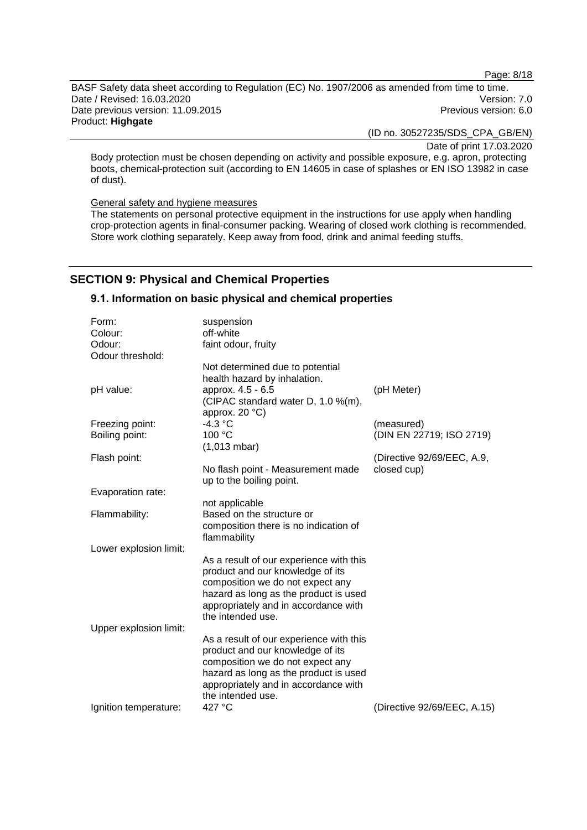Page: 8/18

BASF Safety data sheet according to Regulation (EC) No. 1907/2006 as amended from time to time. Date / Revised: 16.03.2020<br>Date previous version: 11.09.2015 Date previous version: 11.09.2015 Product: **Highgate**

(ID no. 30527235/SDS\_CPA\_GB/EN)

Date of print 17.03.2020

Body protection must be chosen depending on activity and possible exposure, e.g. apron, protecting boots, chemical-protection suit (according to EN 14605 in case of splashes or EN ISO 13982 in case of dust).

General safety and hygiene measures

The statements on personal protective equipment in the instructions for use apply when handling crop-protection agents in final-consumer packing. Wearing of closed work clothing is recommended. Store work clothing separately. Keep away from food, drink and animal feeding stuffs.

# **SECTION 9: Physical and Chemical Properties**

## **9.1. Information on basic physical and chemical properties**

| Form:                  | suspension                                                                    |                             |
|------------------------|-------------------------------------------------------------------------------|-----------------------------|
| Colour:                | off-white                                                                     |                             |
| Odour:                 | faint odour, fruity                                                           |                             |
| Odour threshold:       |                                                                               |                             |
|                        | Not determined due to potential                                               |                             |
|                        | health hazard by inhalation.                                                  |                             |
| pH value:              | approx. 4.5 - 6.5                                                             | (pH Meter)                  |
|                        | (CIPAC standard water D, 1.0 %(m),<br>approx. 20 °C)                          |                             |
| Freezing point:        | $-4.3$ °C                                                                     | (measured)                  |
| Boiling point:         | 100 °C                                                                        | (DIN EN 22719; ISO 2719)    |
|                        | $(1,013 \text{ mbar})$                                                        |                             |
| Flash point:           |                                                                               | (Directive 92/69/EEC, A.9,  |
|                        | No flash point - Measurement made                                             | closed cup)                 |
|                        | up to the boiling point.                                                      |                             |
| Evaporation rate:      |                                                                               |                             |
|                        | not applicable                                                                |                             |
| Flammability:          | Based on the structure or                                                     |                             |
|                        | composition there is no indication of                                         |                             |
|                        | flammability                                                                  |                             |
| Lower explosion limit: |                                                                               |                             |
|                        | As a result of our experience with this                                       |                             |
|                        | product and our knowledge of its                                              |                             |
|                        | composition we do not expect any                                              |                             |
|                        | hazard as long as the product is used<br>appropriately and in accordance with |                             |
|                        | the intended use.                                                             |                             |
| Upper explosion limit: |                                                                               |                             |
|                        | As a result of our experience with this                                       |                             |
|                        | product and our knowledge of its                                              |                             |
|                        | composition we do not expect any                                              |                             |
|                        | hazard as long as the product is used                                         |                             |
|                        | appropriately and in accordance with                                          |                             |
|                        | the intended use.                                                             |                             |
| Ignition temperature:  | 427 °C                                                                        | (Directive 92/69/EEC, A.15) |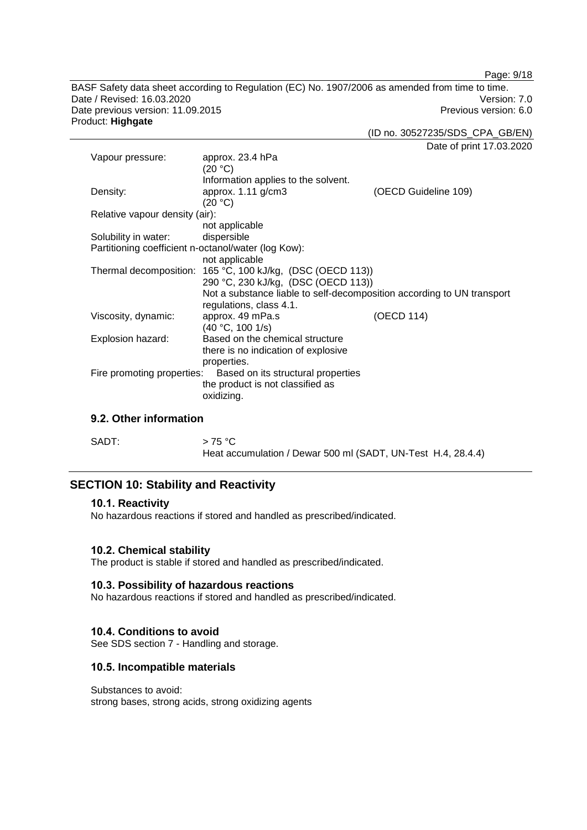Page: 9/18

BASF Safety data sheet according to Regulation (EC) No. 1907/2006 as amended from time to time. Date / Revised: 16.03.2020<br>Date previous version: 11.09.2015 Date previous version: 11.09.2015 Product: **Highgate**

(ID no. 30527235/SDS\_CPA\_GB/EN)

Date of print 17.03.2020

| Vapour pressure:                                    | approx. 23.4 hPa                                                       |                      |
|-----------------------------------------------------|------------------------------------------------------------------------|----------------------|
|                                                     | (20 °C)                                                                |                      |
|                                                     | Information applies to the solvent.                                    |                      |
| Density:                                            | approx. $1.11$ g/cm3                                                   | (OECD Guideline 109) |
|                                                     | (20 °C)                                                                |                      |
| Relative vapour density (air):                      |                                                                        |                      |
|                                                     | not applicable                                                         |                      |
| Solubility in water:                                | dispersible                                                            |                      |
| Partitioning coefficient n-octanol/water (log Kow): |                                                                        |                      |
|                                                     | not applicable                                                         |                      |
|                                                     | Thermal decomposition: 165 °C, 100 kJ/kg, (DSC (OECD 113))             |                      |
|                                                     | 290 °C, 230 kJ/kg, (DSC (OECD 113))                                    |                      |
|                                                     | Not a substance liable to self-decomposition according to UN transport |                      |
|                                                     | regulations, class 4.1.                                                |                      |
| Viscosity, dynamic:                                 | approx. 49 mPa.s                                                       | (OECD 114)           |
|                                                     | (40 °C, 100 1/s)                                                       |                      |
| Explosion hazard:                                   | Based on the chemical structure                                        |                      |
|                                                     | there is no indication of explosive                                    |                      |
|                                                     | properties.                                                            |                      |
| Fire promoting properties:                          | Based on its structural properties                                     |                      |
|                                                     | the product is not classified as                                       |                      |
|                                                     | oxidizing.                                                             |                      |
|                                                     |                                                                        |                      |

## **9.2. Other information**

SADT:  $> 75 °C$ Heat accumulation / Dewar 500 ml (SADT, UN-Test H.4, 28.4.4)

## **SECTION 10: Stability and Reactivity**

#### **10.1. Reactivity**

No hazardous reactions if stored and handled as prescribed/indicated.

#### **10.2. Chemical stability**

The product is stable if stored and handled as prescribed/indicated.

#### **10.3. Possibility of hazardous reactions**

No hazardous reactions if stored and handled as prescribed/indicated.

## **10.4. Conditions to avoid**

See SDS section 7 - Handling and storage.

#### **10.5. Incompatible materials**

Substances to avoid: strong bases, strong acids, strong oxidizing agents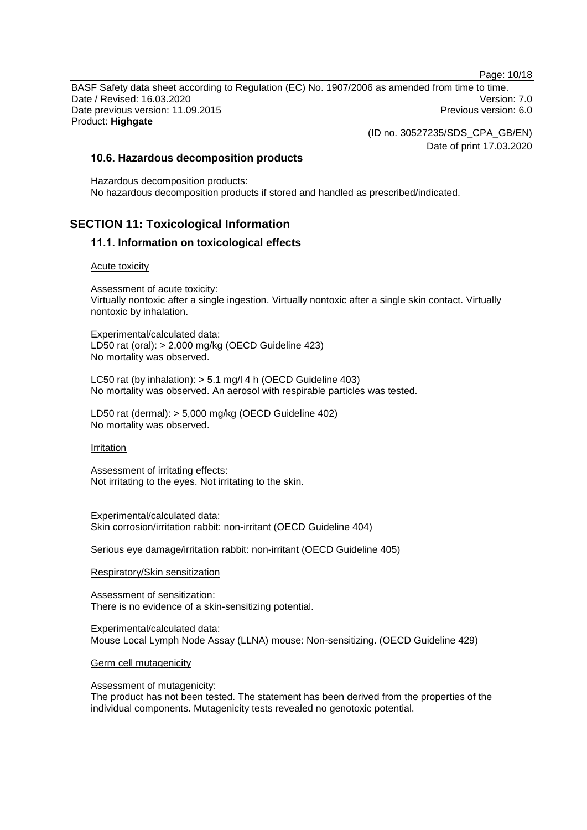Page: 10/18

BASF Safety data sheet according to Regulation (EC) No. 1907/2006 as amended from time to time. Date / Revised: 16.03.2020 Version: 7.0 Date previous version: 11.09.2015 **Previous version: 6.0** Network 2016 Product: **Highgate**

(ID no. 30527235/SDS\_CPA\_GB/EN)

Date of print 17.03.2020

### **10.6. Hazardous decomposition products**

Hazardous decomposition products: No hazardous decomposition products if stored and handled as prescribed/indicated.

## **SECTION 11: Toxicological Information**

#### **11.1. Information on toxicological effects**

#### Acute toxicity

Assessment of acute toxicity: Virtually nontoxic after a single ingestion. Virtually nontoxic after a single skin contact. Virtually nontoxic by inhalation.

Experimental/calculated data: LD50 rat (oral): > 2,000 mg/kg (OECD Guideline 423) No mortality was observed.

LC50 rat (by inhalation): > 5.1 mg/l 4 h (OECD Guideline 403) No mortality was observed. An aerosol with respirable particles was tested.

LD50 rat (dermal): > 5,000 mg/kg (OECD Guideline 402) No mortality was observed.

#### **Irritation**

Assessment of irritating effects: Not irritating to the eyes. Not irritating to the skin.

Experimental/calculated data: Skin corrosion/irritation rabbit: non-irritant (OECD Guideline 404)

Serious eye damage/irritation rabbit: non-irritant (OECD Guideline 405)

#### Respiratory/Skin sensitization

Assessment of sensitization: There is no evidence of a skin-sensitizing potential.

Experimental/calculated data: Mouse Local Lymph Node Assay (LLNA) mouse: Non-sensitizing. (OECD Guideline 429)

#### Germ cell mutagenicity

Assessment of mutagenicity:

The product has not been tested. The statement has been derived from the properties of the individual components. Mutagenicity tests revealed no genotoxic potential.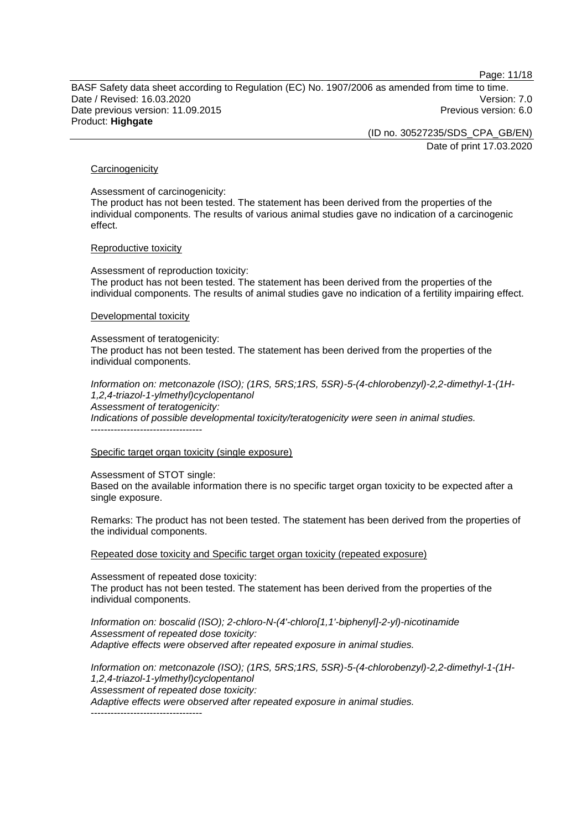Page: 11/18

BASF Safety data sheet according to Regulation (EC) No. 1907/2006 as amended from time to time. Date / Revised: 16.03.2020 Version: 7.0 Date previous version: 11.09.2015 **Previous version: 6.0** Network 2016

Product: **Highgate**

(ID no. 30527235/SDS\_CPA\_GB/EN)

Date of print 17.03.2020

#### **Carcinogenicity**

Assessment of carcinogenicity:

The product has not been tested. The statement has been derived from the properties of the individual components. The results of various animal studies gave no indication of a carcinogenic effect.

#### Reproductive toxicity

Assessment of reproduction toxicity: The product has not been tested. The statement has been derived from the properties of the individual components. The results of animal studies gave no indication of a fertility impairing effect.

#### Developmental toxicity

Assessment of teratogenicity:

The product has not been tested. The statement has been derived from the properties of the individual components.

*Information on: metconazole (ISO); (1RS, 5RS;1RS, 5SR)-5-(4-chlorobenzyl)-2,2-dimethyl-1-(1H-1,2,4-triazol-1-ylmethyl)cyclopentanol Assessment of teratogenicity: Indications of possible developmental toxicity/teratogenicity were seen in animal studies.* ----------------------------------

Specific target organ toxicity (single exposure)

Assessment of STOT single:

Based on the available information there is no specific target organ toxicity to be expected after a single exposure.

Remarks: The product has not been tested. The statement has been derived from the properties of the individual components.

Repeated dose toxicity and Specific target organ toxicity (repeated exposure)

Assessment of repeated dose toxicity: The product has not been tested. The statement has been derived from the properties of the individual components.

*Information on: boscalid (ISO); 2-chloro-N-(4'-chloro[1,1'-biphenyl]-2-yl)-nicotinamide Assessment of repeated dose toxicity: Adaptive effects were observed after repeated exposure in animal studies.*

*Information on: metconazole (ISO); (1RS, 5RS;1RS, 5SR)-5-(4-chlorobenzyl)-2,2-dimethyl-1-(1H-1,2,4-triazol-1-ylmethyl)cyclopentanol Assessment of repeated dose toxicity: Adaptive effects were observed after repeated exposure in animal studies.* ----------------------------------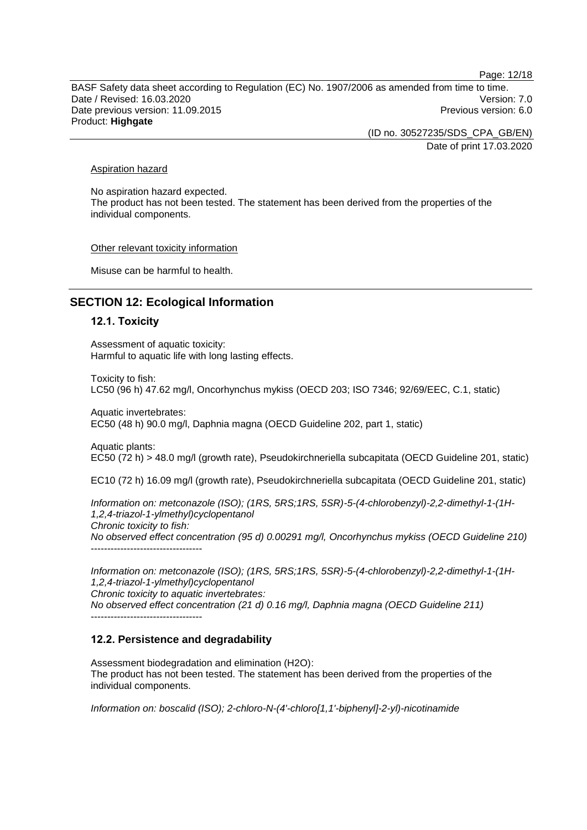Page: 12/18

BASF Safety data sheet according to Regulation (EC) No. 1907/2006 as amended from time to time. Date / Revised: 16.03.2020 Version: 7.0 Date previous version: 11.09.2015 **Previous version: 6.0 Previous version: 6.0 Previous version: 6.0** Product: **Highgate**

(ID no. 30527235/SDS\_CPA\_GB/EN)

Date of print 17.03.2020

#### Aspiration hazard

No aspiration hazard expected. The product has not been tested. The statement has been derived from the properties of the individual components.

Other relevant toxicity information

Misuse can be harmful to health.

## **SECTION 12: Ecological Information**

#### **12.1. Toxicity**

Assessment of aquatic toxicity: Harmful to aquatic life with long lasting effects.

Toxicity to fish: LC50 (96 h) 47.62 mg/l, Oncorhynchus mykiss (OECD 203; ISO 7346; 92/69/EEC, C.1, static)

Aquatic invertebrates: EC50 (48 h) 90.0 mg/l, Daphnia magna (OECD Guideline 202, part 1, static)

Aquatic plants: EC50 (72 h) > 48.0 mg/l (growth rate), Pseudokirchneriella subcapitata (OECD Guideline 201, static)

EC10 (72 h) 16.09 mg/l (growth rate), Pseudokirchneriella subcapitata (OECD Guideline 201, static)

*Information on: metconazole (ISO); (1RS, 5RS;1RS, 5SR)-5-(4-chlorobenzyl)-2,2-dimethyl-1-(1H-1,2,4-triazol-1-ylmethyl)cyclopentanol Chronic toxicity to fish: No observed effect concentration (95 d) 0.00291 mg/l, Oncorhynchus mykiss (OECD Guideline 210)* ----------------------------------

*Information on: metconazole (ISO); (1RS, 5RS;1RS, 5SR)-5-(4-chlorobenzyl)-2,2-dimethyl-1-(1H-1,2,4-triazol-1-ylmethyl)cyclopentanol*

*Chronic toxicity to aquatic invertebrates:*

*No observed effect concentration (21 d) 0.16 mg/l, Daphnia magna (OECD Guideline 211)*

# **12.2. Persistence and degradability**

----------------------------------

Assessment biodegradation and elimination (H2O): The product has not been tested. The statement has been derived from the properties of the individual components.

*Information on: boscalid (ISO); 2-chloro-N-(4'-chloro[1,1'-biphenyl]-2-yl)-nicotinamide*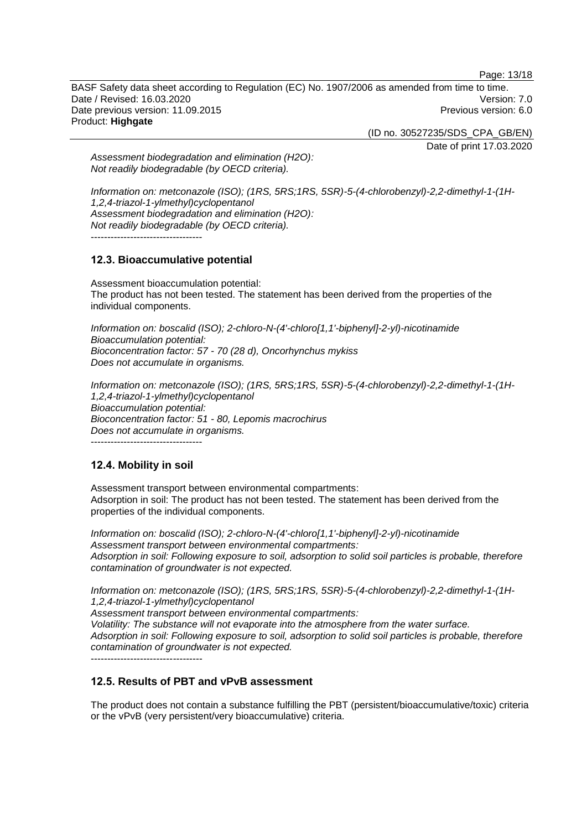Page: 13/18

BASF Safety data sheet according to Regulation (EC) No. 1907/2006 as amended from time to time. Date / Revised: 16.03.2020 Version: 7.0 Date previous version: 11.09.2015 **Previous version: 6.0** Network 2016 Product: **Highgate**

(ID no. 30527235/SDS\_CPA\_GB/EN)

Date of print 17.03.2020

*Assessment biodegradation and elimination (H2O): Not readily biodegradable (by OECD criteria).*

*Information on: metconazole (ISO); (1RS, 5RS;1RS, 5SR)-5-(4-chlorobenzyl)-2,2-dimethyl-1-(1H-1,2,4-triazol-1-ylmethyl)cyclopentanol Assessment biodegradation and elimination (H2O): Not readily biodegradable (by OECD criteria).* ----------------------------------

**12.3. Bioaccumulative potential**

Assessment bioaccumulation potential: The product has not been tested. The statement has been derived from the properties of the individual components.

*Information on: boscalid (ISO); 2-chloro-N-(4'-chloro[1,1'-biphenyl]-2-yl)-nicotinamide Bioaccumulation potential: Bioconcentration factor: 57 - 70 (28 d), Oncorhynchus mykiss Does not accumulate in organisms.*

*Information on: metconazole (ISO); (1RS, 5RS;1RS, 5SR)-5-(4-chlorobenzyl)-2,2-dimethyl-1-(1H-1,2,4-triazol-1-ylmethyl)cyclopentanol Bioaccumulation potential: Bioconcentration factor: 51 - 80, Lepomis macrochirus Does not accumulate in organisms.*

----------------------------------

## **12.4. Mobility in soil**

Assessment transport between environmental compartments: Adsorption in soil: The product has not been tested. The statement has been derived from the properties of the individual components.

*Information on: boscalid (ISO); 2-chloro-N-(4'-chloro[1,1'-biphenyl]-2-yl)-nicotinamide Assessment transport between environmental compartments: Adsorption in soil: Following exposure to soil, adsorption to solid soil particles is probable, therefore contamination of groundwater is not expected.*

*Information on: metconazole (ISO); (1RS, 5RS;1RS, 5SR)-5-(4-chlorobenzyl)-2,2-dimethyl-1-(1H-1,2,4-triazol-1-ylmethyl)cyclopentanol Assessment transport between environmental compartments:*

*Volatility: The substance will not evaporate into the atmosphere from the water surface. Adsorption in soil: Following exposure to soil, adsorption to solid soil particles is probable, therefore contamination of groundwater is not expected.*

----------------------------------

## **12.5. Results of PBT and vPvB assessment**

The product does not contain a substance fulfilling the PBT (persistent/bioaccumulative/toxic) criteria or the vPvB (very persistent/very bioaccumulative) criteria.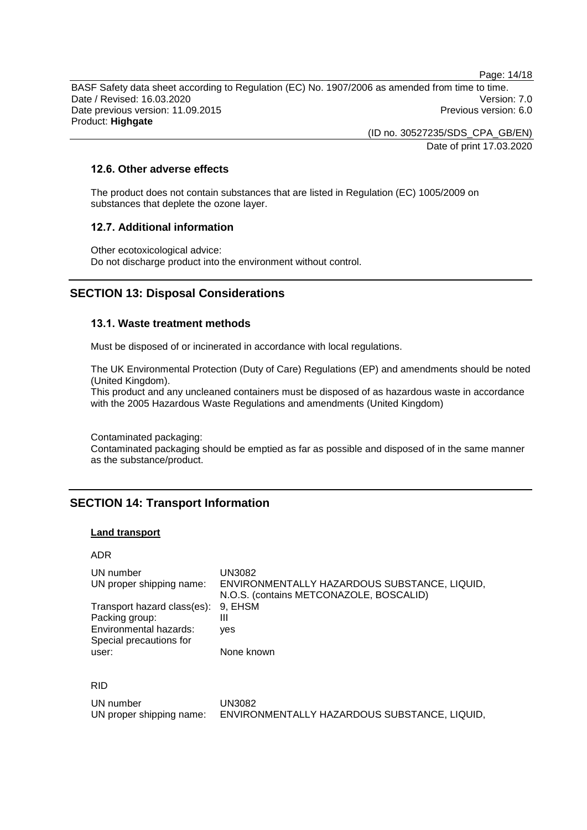Page: 14/18

BASF Safety data sheet according to Regulation (EC) No. 1907/2006 as amended from time to time. Date / Revised: 16.03.2020 Version: 7.0 Date previous version: 11.09.2015 **Previous version: 6.0** Previous version: 6.0 Product: **Highgate**

> (ID no. 30527235/SDS\_CPA\_GB/EN) Date of print 17.03.2020

## **12.6. Other adverse effects**

The product does not contain substances that are listed in Regulation (EC) 1005/2009 on substances that deplete the ozone layer.

## **12.7. Additional information**

Other ecotoxicological advice: Do not discharge product into the environment without control.

## **SECTION 13: Disposal Considerations**

#### **13.1. Waste treatment methods**

Must be disposed of or incinerated in accordance with local regulations.

The UK Environmental Protection (Duty of Care) Regulations (EP) and amendments should be noted (United Kingdom).

This product and any uncleaned containers must be disposed of as hazardous waste in accordance with the 2005 Hazardous Waste Regulations and amendments (United Kingdom)

Contaminated packaging:

Contaminated packaging should be emptied as far as possible and disposed of in the same manner as the substance/product.

## **SECTION 14: Transport Information**

#### **Land transport**

#### ADR

| UN number<br>UN proper shipping name:                                                                      | UN3082<br>ENVIRONMENTALLY HAZARDOUS SUBSTANCE, LIQUID,<br>N.O.S. (contains METCONAZOLE, BOSCALID) |
|------------------------------------------------------------------------------------------------------------|---------------------------------------------------------------------------------------------------|
| Transport hazard class(es): 9, EHSM<br>Packing group:<br>Environmental hazards:<br>Special precautions for | Ш<br>ves                                                                                          |
| user:                                                                                                      | None known                                                                                        |

| ٠ | I<br>۰, |
|---|---------|
|---|---------|

| UN number                | UN3082                                       |
|--------------------------|----------------------------------------------|
| UN proper shipping name: | ENVIRONMENTALLY HAZARDOUS SUBSTANCE, LIQUID, |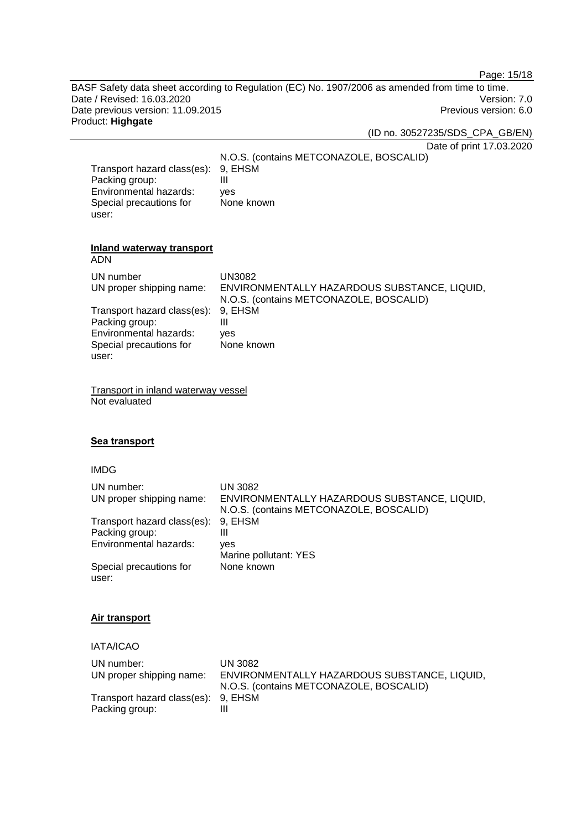Page: 15/18

BASF Safety data sheet according to Regulation (EC) No. 1907/2006 as amended from time to time. Date / Revised: 16.03.2020<br>
Date previous version: 11.09.2015<br>
Previous version: 6.0 Date previous version: 11.09.2015 Product: **Highgate**

#### (ID no. 30527235/SDS\_CPA\_GB/EN)

Date of print 17.03.2020

N.O.S. (contains METCONAZOLE, BOSCALID) Transport hazard class(es): 9, EHSM<br>Packing group: III Packing group: Environmental hazards: yes Special precautions for None known

#### **Inland waterway transport** ADN

| <b>ADIY</b>                 |                                              |
|-----------------------------|----------------------------------------------|
| UN number                   | <b>UN3082</b>                                |
| UN proper shipping name:    | ENVIRONMENTALLY HAZARDOUS SUBSTANCE, LIQUID, |
|                             | N.O.S. (contains METCONAZOLE, BOSCALID)      |
| Transport hazard class(es): | 9, EHSM                                      |
| Packing group:              | Ш                                            |
| Environmental hazards:      | ves                                          |
| Special precautions for     | None known                                   |
| user:                       |                                              |
|                             |                                              |

Transport in inland waterway vessel Not evaluated

### **Sea transport**

#### IMDG

user:

| UN number:<br>UN proper shipping name: | UN 3082<br>ENVIRONMENTALLY HAZARDOUS SUBSTANCE, LIQUID,<br>N.O.S. (contains METCONAZOLE, BOSCALID) |
|----------------------------------------|----------------------------------------------------------------------------------------------------|
| Transport hazard class(es):            | 9, EHSM                                                                                            |
|                                        |                                                                                                    |
| Packing group:                         | Ш                                                                                                  |
| Environmental hazards:                 | ves                                                                                                |
|                                        | Marine pollutant: YES                                                                              |
| Special precautions for<br>user:       | None known                                                                                         |

#### **Air transport**

IATA/ICAO

| UN number:                          | <b>UN 3082</b>                               |
|-------------------------------------|----------------------------------------------|
| UN proper shipping name:            | ENVIRONMENTALLY HAZARDOUS SUBSTANCE, LIQUID, |
|                                     | N.O.S. (contains METCONAZOLE, BOSCALID)      |
| Transport hazard class(es): 9, EHSM |                                              |
| Packing group:                      |                                              |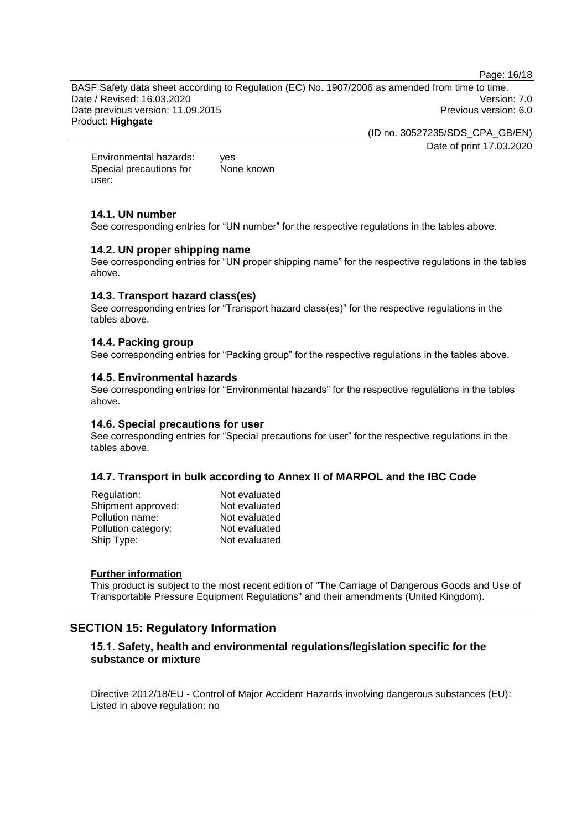Page: 16/18

BASF Safety data sheet according to Regulation (EC) No. 1907/2006 as amended from time to time. Date / Revised: 16.03.2020 Version: 7.0 Date previous version: 11.09.2015 **Previous version: 6.0** Network 2016 Product: **Highgate**

(ID no. 30527235/SDS\_CPA\_GB/EN)

Date of print 17.03.2020

Environmental hazards: yes Special precautions for user: None known

## **14.1. UN number**

See corresponding entries for "UN number" for the respective regulations in the tables above.

## **14.2. UN proper shipping name**

See corresponding entries for "UN proper shipping name" for the respective regulations in the tables above.

## **14.3. Transport hazard class(es)**

See corresponding entries for "Transport hazard class(es)" for the respective regulations in the tables above.

## **14.4. Packing group**

See corresponding entries for "Packing group" for the respective regulations in the tables above.

#### **14.5. Environmental hazards**

See corresponding entries for "Environmental hazards" for the respective regulations in the tables above.

## **14.6. Special precautions for user**

See corresponding entries for "Special precautions for user" for the respective regulations in the tables above.

## **14.7. Transport in bulk according to Annex II of MARPOL and the IBC Code**

| Regulation:         | Not evaluated |
|---------------------|---------------|
| Shipment approved:  | Not evaluated |
| Pollution name:     | Not evaluated |
| Pollution category: | Not evaluated |
| Ship Type:          | Not evaluated |
|                     |               |

#### **Further information**

This product is subject to the most recent edition of "The Carriage of Dangerous Goods and Use of Transportable Pressure Equipment Regulations" and their amendments (United Kingdom).

## **SECTION 15: Regulatory Information**

## **15.1. Safety, health and environmental regulations/legislation specific for the substance or mixture**

Directive 2012/18/EU - Control of Major Accident Hazards involving dangerous substances (EU): Listed in above regulation: no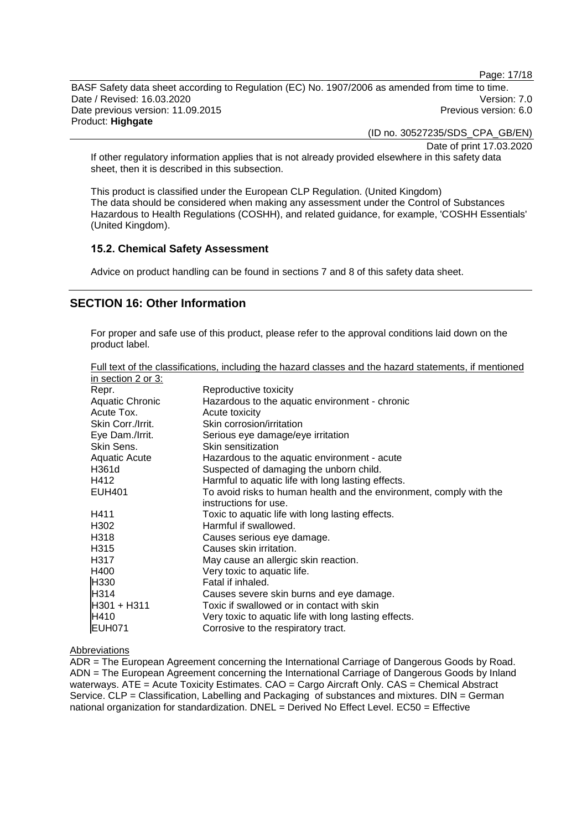Page: 17/18

BASF Safety data sheet according to Regulation (EC) No. 1907/2006 as amended from time to time. Date / Revised: 16.03.2020 Version: 7.0 Date previous version: 11.09.2015 **Previous version: 6.0 Previous version: 6.0 Previous version: 6.0** Product: **Highgate**

(ID no. 30527235/SDS\_CPA\_GB/EN)

Date of print 17.03.2020

If other regulatory information applies that is not already provided elsewhere in this safety data sheet, then it is described in this subsection.

This product is classified under the European CLP Regulation. (United Kingdom) The data should be considered when making any assessment under the Control of Substances Hazardous to Health Regulations (COSHH), and related guidance, for example, 'COSHH Essentials' (United Kingdom).

#### **15.2. Chemical Safety Assessment**

Advice on product handling can be found in sections 7 and 8 of this safety data sheet.

## **SECTION 16: Other Information**

For proper and safe use of this product, please refer to the approval conditions laid down on the product label.

| Full text of the classifications, including the hazard classes and the hazard statements, if mentioned |  |  |  |
|--------------------------------------------------------------------------------------------------------|--|--|--|
| in section 2 or 3:                                                                                     |  |  |  |

| III SECUDITZ OF 3. |                                                                     |
|--------------------|---------------------------------------------------------------------|
| Repr.              | Reproductive toxicity                                               |
| Aquatic Chronic    | Hazardous to the aquatic environment - chronic                      |
| Acute Tox.         | Acute toxicity                                                      |
| Skin Corr./Irrit.  | Skin corrosion/irritation                                           |
| Eye Dam./Irrit.    | Serious eye damage/eye irritation                                   |
| Skin Sens.         | Skin sensitization                                                  |
| Aquatic Acute      | Hazardous to the aquatic environment - acute                        |
| H361d              | Suspected of damaging the unborn child.                             |
| H412               | Harmful to aquatic life with long lasting effects.                  |
| <b>EUH401</b>      | To avoid risks to human health and the environment, comply with the |
|                    | instructions for use.                                               |
| H411               | Toxic to aquatic life with long lasting effects.                    |
| H <sub>302</sub>   | Harmful if swallowed.                                               |
| H318               | Causes serious eye damage.                                          |
| H <sub>3</sub> 15  | Causes skin irritation.                                             |
| H317               | May cause an allergic skin reaction.                                |
| H400               | Very toxic to aquatic life.                                         |
| H330               | Fatal if inhaled.                                                   |
| H314               | Causes severe skin burns and eye damage.                            |
| <b>H301 + H311</b> | Toxic if swallowed or in contact with skin                          |
| <b>H</b> 410       | Very toxic to aquatic life with long lasting effects.               |
| EUH071             | Corrosive to the respiratory tract.                                 |

#### Abbreviations

ADR = The European Agreement concerning the International Carriage of Dangerous Goods by Road. ADN = The European Agreement concerning the International Carriage of Dangerous Goods by Inland waterways. ATE = Acute Toxicity Estimates. CAO = Cargo Aircraft Only. CAS = Chemical Abstract Service. CLP = Classification, Labelling and Packaging of substances and mixtures. DIN = German national organization for standardization. DNEL = Derived No Effect Level. EC50 = Effective